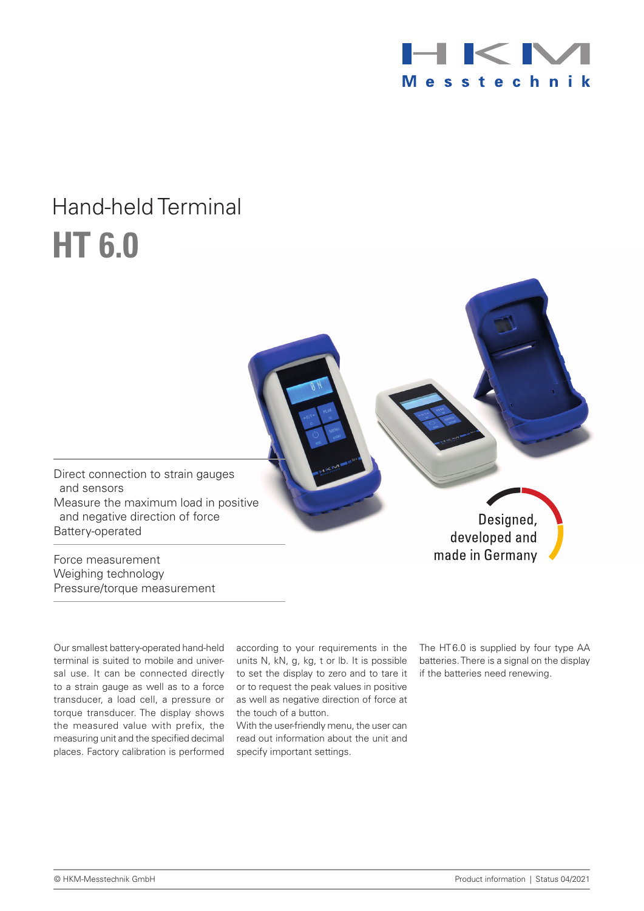

## Hand-held Terminal **HT 6.0**

Direct connection to strain gauges and sensors Measure the maximum load in positive and negative direction of force Battery-operated

Force measurement Weighing technology Pressure/torque measurement

Our smallest battery-operated hand-held terminal is suited to mobile and universal use. It can be connected directly to a strain gauge as well as to a force transducer, a load cell, a pressure or torque transducer. The display shows the measured value with prefix, the places. Factory calibration is performed

according to your requirements in the units N, kN, g, kg, t or lb. It is possible to set the display to zero and to tare it or to request the peak values in positive as well as negative direction of force at the touch of a button.

measuring unit and the specified decimal read out information about the unit and With the user-friendly menu, the user can specify important settings.

The HT6.0 is supplied by four type AA batteries. There is a signal on the display if the batteries need renewing.

Designed,

developed and made in Germany